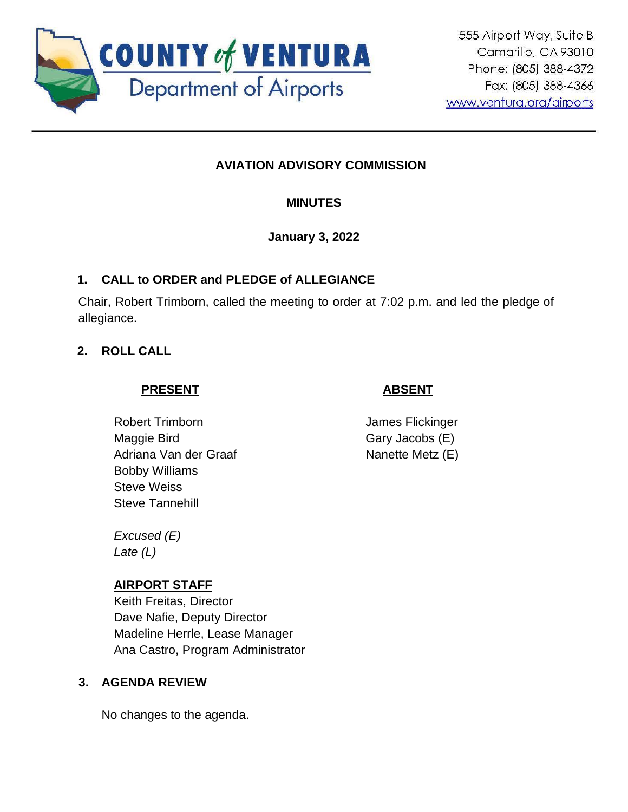

# **AVIATION ADVISORY COMMISSION**

## **MINUTES**

### **January 3, 2022**

## **1. CALL to ORDER and PLEDGE of ALLEGIANCE**

Chair, Robert Trimborn, called the meeting to order at 7:02 p.m. and led the pledge of allegiance.

### **2. ROLL CALL**

## **PRESENT**

# **ABSENT**

Robert Trimborn Maggie Bird Adriana Van der Graaf Bobby Williams Steve Weiss Steve Tannehill

James Flickinger Gary Jacobs (E) Nanette Metz (E)

*Excused (E) Late (L)*

### **AIRPORT STAFF**

Keith Freitas, Director Dave Nafie, Deputy Director Madeline Herrle, Lease Manager Ana Castro, Program Administrator

### **3. AGENDA REVIEW**

No changes to the agenda.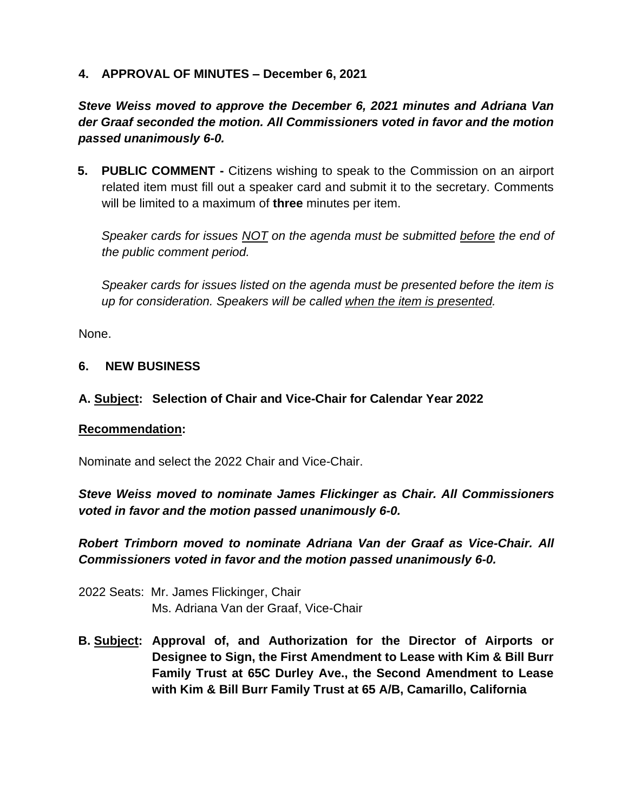### **4. APPROVAL OF MINUTES – December 6, 2021**

*Steve Weiss moved to approve the December 6, 2021 minutes and Adriana Van der Graaf seconded the motion. All Commissioners voted in favor and the motion passed unanimously 6-0.*

**5. PUBLIC COMMENT -** Citizens wishing to speak to the Commission on an airport related item must fill out a speaker card and submit it to the secretary. Comments will be limited to a maximum of **three** minutes per item.

*Speaker cards for issues NOT on the agenda must be submitted before the end of the public comment period.* 

*Speaker cards for issues listed on the agenda must be presented before the item is up for consideration. Speakers will be called when the item is presented.*

None.

### **6. NEW BUSINESS**

#### **A. Subject: Selection of Chair and Vice-Chair for Calendar Year 2022**

#### **Recommendation:**

Nominate and select the 2022 Chair and Vice-Chair.

*Steve Weiss moved to nominate James Flickinger as Chair. All Commissioners voted in favor and the motion passed unanimously 6-0.* 

*Robert Trimborn moved to nominate Adriana Van der Graaf as Vice-Chair. All Commissioners voted in favor and the motion passed unanimously 6-0.*

- 2022 Seats: Mr. James Flickinger, Chair Ms. Adriana Van der Graaf, Vice-Chair
- **B. Subject: Approval of, and Authorization for the Director of Airports or Designee to Sign, the First Amendment to Lease with Kim & Bill Burr Family Trust at 65C Durley Ave., the Second Amendment to Lease with Kim & Bill Burr Family Trust at 65 A/B, Camarillo, California**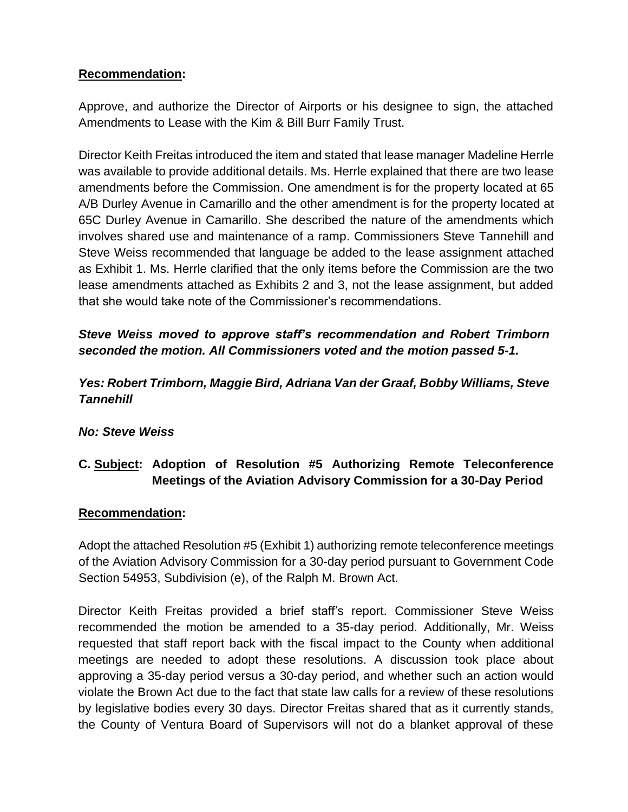### **Recommendation:**

Approve, and authorize the Director of Airports or his designee to sign, the attached Amendments to Lease with the Kim & Bill Burr Family Trust.

Director Keith Freitas introduced the item and stated that lease manager Madeline Herrle was available to provide additional details. Ms. Herrle explained that there are two lease amendments before the Commission. One amendment is for the property located at 65 A/B Durley Avenue in Camarillo and the other amendment is for the property located at 65C Durley Avenue in Camarillo. She described the nature of the amendments which involves shared use and maintenance of a ramp. Commissioners Steve Tannehill and Steve Weiss recommended that language be added to the lease assignment attached as Exhibit 1. Ms. Herrle clarified that the only items before the Commission are the two lease amendments attached as Exhibits 2 and 3, not the lease assignment, but added that she would take note of the Commissioner's recommendations.

# *Steve Weiss moved to approve staff's recommendation and Robert Trimborn seconded the motion. All Commissioners voted and the motion passed 5-1.*

# *Yes: Robert Trimborn, Maggie Bird, Adriana Van der Graaf, Bobby Williams, Steve Tannehill*

### *No: Steve Weiss*

# **C. Subject: Adoption of Resolution #5 Authorizing Remote Teleconference Meetings of the Aviation Advisory Commission for a 30-Day Period**

### **Recommendation:**

Adopt the attached Resolution #5 (Exhibit 1) authorizing remote teleconference meetings of the Aviation Advisory Commission for a 30-day period pursuant to Government Code Section 54953, Subdivision (e), of the Ralph M. Brown Act.

Director Keith Freitas provided a brief staff's report. Commissioner Steve Weiss recommended the motion be amended to a 35-day period. Additionally, Mr. Weiss requested that staff report back with the fiscal impact to the County when additional meetings are needed to adopt these resolutions. A discussion took place about approving a 35-day period versus a 30-day period, and whether such an action would violate the Brown Act due to the fact that state law calls for a review of these resolutions by legislative bodies every 30 days. Director Freitas shared that as it currently stands, the County of Ventura Board of Supervisors will not do a blanket approval of these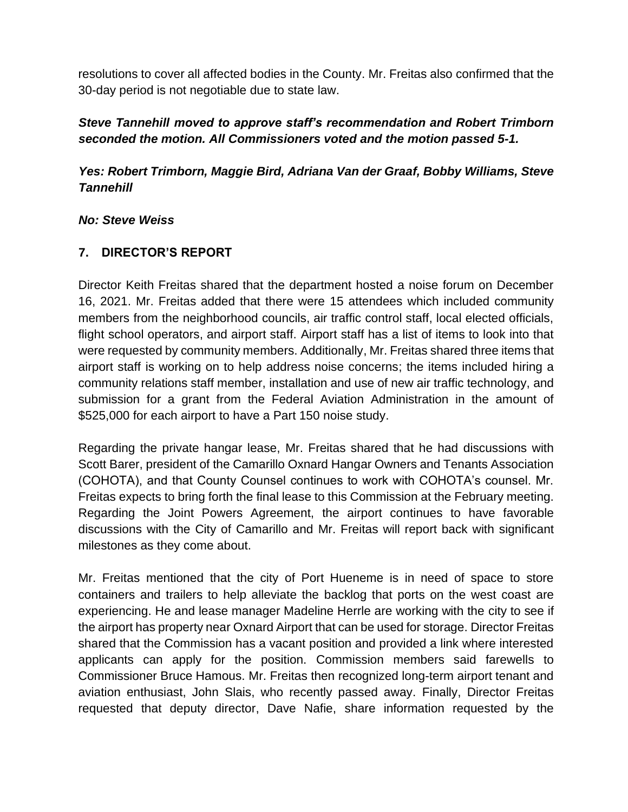resolutions to cover all affected bodies in the County. Mr. Freitas also confirmed that the 30-day period is not negotiable due to state law.

## *Steve Tannehill moved to approve staff's recommendation and Robert Trimborn seconded the motion. All Commissioners voted and the motion passed 5-1.*

*Yes: Robert Trimborn, Maggie Bird, Adriana Van der Graaf, Bobby Williams, Steve Tannehill*

#### *No: Steve Weiss*

### **7. DIRECTOR'S REPORT**

Director Keith Freitas shared that the department hosted a noise forum on December 16, 2021. Mr. Freitas added that there were 15 attendees which included community members from the neighborhood councils, air traffic control staff, local elected officials, flight school operators, and airport staff. Airport staff has a list of items to look into that were requested by community members. Additionally, Mr. Freitas shared three items that airport staff is working on to help address noise concerns; the items included hiring a community relations staff member, installation and use of new air traffic technology, and submission for a grant from the Federal Aviation Administration in the amount of \$525,000 for each airport to have a Part 150 noise study.

Regarding the private hangar lease, Mr. Freitas shared that he had discussions with Scott Barer, president of the Camarillo Oxnard Hangar Owners and Tenants Association (COHOTA), and that County Counsel continues to work with COHOTA's counsel. Mr. Freitas expects to bring forth the final lease to this Commission at the February meeting. Regarding the Joint Powers Agreement, the airport continues to have favorable discussions with the City of Camarillo and Mr. Freitas will report back with significant milestones as they come about.

Mr. Freitas mentioned that the city of Port Hueneme is in need of space to store containers and trailers to help alleviate the backlog that ports on the west coast are experiencing. He and lease manager Madeline Herrle are working with the city to see if the airport has property near Oxnard Airport that can be used for storage. Director Freitas shared that the Commission has a vacant position and provided a link where interested applicants can apply for the position. Commission members said farewells to Commissioner Bruce Hamous. Mr. Freitas then recognized long-term airport tenant and aviation enthusiast, John Slais, who recently passed away. Finally, Director Freitas requested that deputy director, Dave Nafie, share information requested by the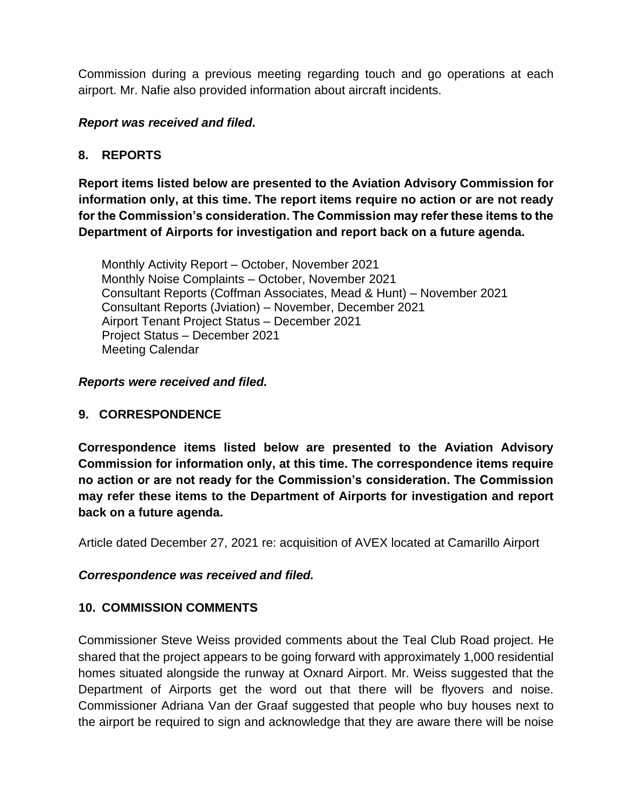Commission during a previous meeting regarding touch and go operations at each airport. Mr. Nafie also provided information about aircraft incidents.

#### *Report was received and filed.*

#### **8. REPORTS**

**Report items listed below are presented to the Aviation Advisory Commission for information only, at this time. The report items require no action or are not ready for the Commission's consideration. The Commission may refer these items to the Department of Airports for investigation and report back on a future agenda.** 

Monthly Activity Report – October, November 2021 Monthly Noise Complaints – October, November 2021 Consultant Reports (Coffman Associates, Mead & Hunt) – November 2021 Consultant Reports (Jviation) – November, December 2021 Airport Tenant Project Status – December 2021 Project Status – December 2021 Meeting Calendar

#### *Reports were received and filed.*

#### **9. CORRESPONDENCE**

**Correspondence items listed below are presented to the Aviation Advisory Commission for information only, at this time. The correspondence items require no action or are not ready for the Commission's consideration. The Commission may refer these items to the Department of Airports for investigation and report back on a future agenda.** 

Article dated December 27, 2021 re: acquisition of AVEX located at Camarillo Airport

#### *Correspondence was received and filed.*

#### **10. COMMISSION COMMENTS**

Commissioner Steve Weiss provided comments about the Teal Club Road project. He shared that the project appears to be going forward with approximately 1,000 residential homes situated alongside the runway at Oxnard Airport. Mr. Weiss suggested that the Department of Airports get the word out that there will be flyovers and noise. Commissioner Adriana Van der Graaf suggested that people who buy houses next to the airport be required to sign and acknowledge that they are aware there will be noise